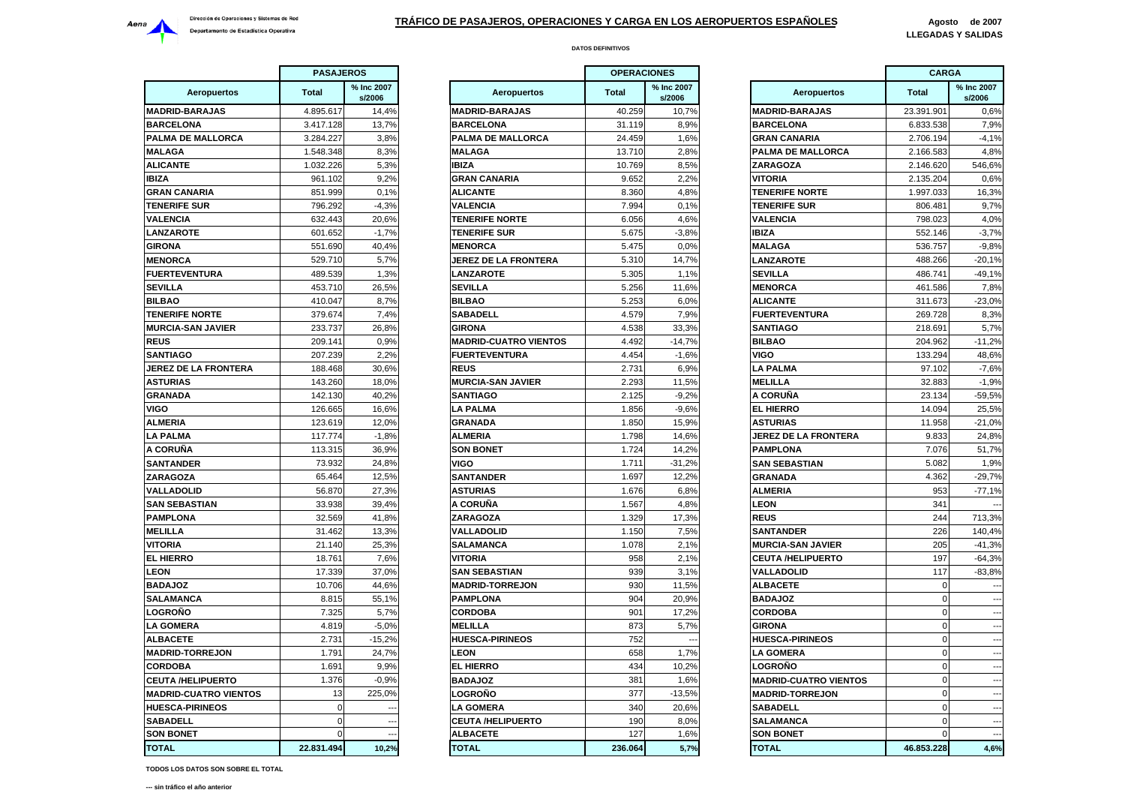

|                              | <b>PASAJEROS</b> |                      |                     |
|------------------------------|------------------|----------------------|---------------------|
| <b>Aeropuertos</b>           | <b>Total</b>     | % Inc 2007<br>s/2006 | Ae                  |
| <b>MADRID-BARAJAS</b>        | 4.895.617        | 14,4%                | <b>MADRID-BAI</b>   |
| <b>BARCELONA</b>             | 3.417.128        | 13,7%                | <b>BARCELON/</b>    |
| PALMA DE MALLORCA            | 3.284.227        | 3,8%                 | <b>PALMA DE N</b>   |
| <b>MALAGA</b>                | 1.548.348        | 8,3%                 | <b>MALAGA</b>       |
| ALICANTE                     | 1.032.226        | 5,3%                 | IBIZA               |
| <b>IBIZA</b>                 | 961.102          | 9,2%                 | <b>GRAN CANA</b>    |
| GRAN CANARIA                 | 851.999          | 0.1%                 | ALICANTE            |
| <b>TENERIFE SUR</b>          | 796.292          | $-4,3%$              | VALENCIA            |
| VALENCIA                     | 632.443          | 20,6%                | TENERIFE N          |
| <b>LANZAROTE</b>             | 601.652          | $-1,7%$              | <b>TENERIFE SI</b>  |
| <b>GIRONA</b>                | 551.690          | 40.4%                | <b>MENORCA</b>      |
| <b>MENORCA</b>               | 529.710          | 5,7%                 | JEREZ DE L <i>I</i> |
| <b>FUERTEVENTURA</b>         | 489.539          | 1,3%                 | <b>LANZAROTE</b>    |
| SEVILLA                      | 453.710          | 26,5%                | <b>SEVILLA</b>      |
| <b>BILBAO</b>                | 410.047          | 8,7%                 | <b>BILBAO</b>       |
| <b>TENERIFE NORTE</b>        | 379.674          | 7,4%                 | SABADELL            |
| <b>MURCIA-SAN JAVIER</b>     | 233.737          | 26,8%                | <b>GIRONA</b>       |
| <b>REUS</b>                  | 209.141          | 0.9%                 | <b>MADRID-CU</b>    |
| SANTIAGO                     | 207.239          | 2,2%                 | <b>FUERTEVEN</b>    |
| JEREZ DE LA FRONTERA         | 188.468          | 30,6%                | <b>REUS</b>         |
| <b>ASTURIAS</b>              | 143.260          | 18,0%                | <b>MURCIA-SAN</b>   |
| <b>GRANADA</b>               | 142.130          | 40,2%                | SANTIAGO            |
| VIGO                         | 126.665          | 16,6%                | <b>LA PALMA</b>     |
| <b>ALMERIA</b>               | 123.619          | 12,0%                | <b>GRANADA</b>      |
| LA PALMA                     | 117.774          | $-1,8%$              | ALMERIA             |
| A CORUÑA                     | 113.315          | 36,9%                | <b>SON BONET</b>    |
| SANTANDER                    | 73.932           | 24,8%                | VIGO                |
| ZARAGOZA                     | 65.464           | 12,5%                | <b>SANTANDER</b>    |
| VALLADOLID                   | 56.870           | 27,3%                | <b>ASTURIAS</b>     |
| SAN SEBASTIAN                | 33.938           | 39,4%                | A CORUÑA            |
| PAMPLONA                     | 32.569           | 41,8%                | <b>ZARAGOZA</b>     |
| MELILLA                      | 31.462           | 13,3%                | VALLADOLID          |
| VITORIA                      | 21.140           | 25,3%                | <b>SALAMANCA</b>    |
| <b>EL HIERRO</b>             | 18.761           | 7,6%                 | <b>VITORIA</b>      |
| <b>LEON</b>                  | 17.339           | 37,0%                | <b>SAN SEBAS</b>    |
| <b>BADAJOZ</b>               | 10.706           | 44,6%                | <b>MADRID-TOR</b>   |
| SALAMANCA                    | 8.815            | 55,1%                | PAMPLONA            |
| LOGROÑO                      | 7.325            | 5,7%                 | <b>CORDOBA</b>      |
| LA GOMERA                    | 4.819            | $-5,0%$              | MELILLA             |
| <b>ALBACETE</b>              | 2.731            | $-15,2%$             | <b>HUESCA-PIR</b>   |
| <b>MADRID-TORREJON</b>       | 1.791            | 24,7%                | <b>LEON</b>         |
| CORDOBA                      | 1.691            | 9,9%                 | <b>EL HIERRO</b>    |
| <b>CEUTA /HELIPUERTO</b>     | 1.376            | $-0,9%$              | <b>BADAJOZ</b>      |
| <b>MADRID-CUATRO VIENTOS</b> | 13               | 225,0%               | LOGROÑO             |
| <b>HUESCA-PIRINEOS</b>       | 0                |                      | LA GOMERA           |
| <b>SABADELL</b>              | 0                |                      | <b>CEUTA /HEL</b>   |
| <b>SON BONET</b>             | 0                |                      | <b>ALBACETE</b>     |
| <b>TOTAL</b>                 | 22.831.494       | 10,2%                | <b>TOTAL</b>        |
|                              |                  |                      |                     |

|                            | <b>PASAJEROS</b> |                      |                              | <b>OPERACIONES</b> |                      |                              | <b>CARGA</b> |                          |
|----------------------------|------------------|----------------------|------------------------------|--------------------|----------------------|------------------------------|--------------|--------------------------|
| <b>Aeropuertos</b>         | <b>Total</b>     | % Inc 2007<br>s/2006 | <b>Aeropuertos</b>           | <b>Total</b>       | % Inc 2007<br>s/2006 | <b>Aeropuertos</b>           | <b>Total</b> | % Inc 2007<br>s/2006     |
| <b>DRID-BARAJAS</b>        | 4.895.617        | 14,4%                | <b>MADRID-BARAJAS</b>        | 40.259             | 10,7%                | <b>MADRID-BARAJAS</b>        | 23.391.901   | 0,6%                     |
| <b>RCELONA</b>             | 3.417.128        | 13,7%                | <b>BARCELONA</b>             | 31.119             | 8,9%                 | <b>BARCELONA</b>             | 6.833.538    | 7,9%                     |
| <b>MA DE MALLORCA</b>      | 3.284.227        | 3,8%                 | PALMA DE MALLORCA            | 24.459             | 1,6%                 | <b>GRAN CANARIA</b>          | 2.706.194    | $-4,1%$                  |
| ∟AGA                       | 1.548.348        | 8,3%                 | <b>MALAGA</b>                | 13.710             | 2,8%                 | PALMA DE MALLORCA            | 2.166.583    | 4,8%                     |
| CANTE                      | 1.032.226        | 5,3%                 | <b>IBIZA</b>                 | 10.769             | 8,5%                 | ZARAGOZA                     | 2.146.620    | 546,6%                   |
| Ά                          | 961.102          | 9,2%                 | <b>GRAN CANARIA</b>          | 9.652              | 2,2%                 | <b>VITORIA</b>               | 2.135.204    | 0.6%                     |
| AN CANARIA                 | 851.999          | 0,1%                 | <b>ALICANTE</b>              | 8.360              | 4,8%                 | <b>TENERIFE NORTE</b>        | 1.997.033    | 16,3%                    |
| <b>IERIFE SUR</b>          | 796.292          | $-4,3%$              | <b>VALENCIA</b>              | 7.994              | 0,1%                 | <b>TENERIFE SUR</b>          | 806.481      | 9,7%                     |
| <b>ENCIA</b>               | 632.443          | 20,6%                | <b>TENERIFE NORTE</b>        | 6.056              | 4,6%                 | <b>VALENCIA</b>              | 798.023      | 4,0%                     |
| <b>IZAROTE</b>             | 601.652          | $-1,7%$              | <b>TENERIFE SUR</b>          | 5.675              | $-3,8%$              | <b>IBIZA</b>                 | 552.146      | $-3,7%$                  |
| ONA                        | 551.690          | 40.4%                | <b>MENORCA</b>               | 5.475              | 0.0%                 | <b>MALAGA</b>                | 536.757      | $-9.8%$                  |
| <b>NORCA</b>               | 529.710          | 5,7%                 | JEREZ DE LA FRONTERA         | 5.310              | 14,7%                | <b>ANZAROTE</b>              | 488.266      | $-20,1%$                 |
| <b>ERTEVENTURA</b>         | 489.539          | 1,3%                 | <b>LANZAROTE</b>             | 5.305              | 1.1%                 | <b>SEVILLA</b>               | 486.741      | $-49.1%$                 |
| /ILLA                      | 453.710          | 26,5%                | <b>SEVILLA</b>               | 5.256              | 11,6%                | <b>MENORCA</b>               | 461.586      | 7,8%                     |
| <b>BAO</b>                 | 410.047          | 8,7%                 | <b>BILBAO</b>                | 5.253              | 6,0%                 | <b>ALICANTE</b>              | 311.673      | $-23,0%$                 |
| <b>IERIFE NORTE</b>        | 379.674          | 7,4%                 | <b>SABADELL</b>              | 4.579              | 7,9%                 | <b>FUERTEVENTURA</b>         | 269.728      | 8,3%                     |
| <b>RCIA-SAN JAVIER</b>     | 233.737          | 26,8%                | <b>GIRONA</b>                | 4.538              | 33,3%                | <b>SANTIAGO</b>              | 218.691      | 5,7%                     |
| JS                         | 209.141          | 0,9%                 | <b>MADRID-CUATRO VIENTOS</b> | 4.492              | $-14,7%$             | <b>BILBAO</b>                | 204.962      | $-11,2%$                 |
| <b>ITIAGO</b>              | 207.239          | 2,2%                 | <b>FUERTEVENTURA</b>         | 4.454              | $-1,6%$              | <b>VIGO</b>                  | 133.294      | 48,6%                    |
| <b>EZ DE LA FRONTERA!</b>  | 188.468          | 30.6%                | <b>REUS</b>                  | 2.731              | 6,9%                 | <b>LA PALMA</b>              | 97.102       | $-7,6%$                  |
| <b>TURIAS</b>              | 143.260          | 18,0%                | <b>MURCIA-SAN JAVIER</b>     | 2.293              | 11,5%                | <b>MELILLA</b>               | 32.883       | $-1,9%$                  |
| <b>ANADA</b>               | 142.130          | 40.2%                | <b>SANTIAGO</b>              | 2.125              | $-9,2%$              | A CORUÑA                     | 23.134       | $-59,5%$                 |
| О                          | 126.665          | 16,6%                | <b>LA PALMA</b>              | 1.856              | $-9,6%$              | <b>EL HIERRO</b>             | 14.094       | 25,5%                    |
| <b>IERIA</b>               | 123.619          | 12,0%                | <b>GRANADA</b>               | 1.850              | 15,9%                | <b>ASTURIAS</b>              | 11.958       | $-21,0%$                 |
| <b>PALMA</b>               | 117.774          | $-1,8%$              | <b>ALMERIA</b>               | 1.798              | 14,6%                | <b>JEREZ DE LA FRONTERA</b>  | 9.833        | 24,8%                    |
| ORUÑA                      | 113.315          | 36,9%                | <b>SON BONET</b>             | 1.724              | 14,2%                | <b>PAMPLONA</b>              | 7.076        | 51,7%                    |
| <b>ITANDER</b>             | 73.932           | 24,8%                | <b>VIGO</b>                  | 1.711              | $-31,2%$             | <b>SAN SEBASTIAN</b>         | 5.082        | 1,9%                     |
| <b>AGOZA</b>               | 65.464           | 12,5%                | <b>SANTANDER</b>             | 1.697              | 12,2%                | <b>GRANADA</b>               | 4.362        | $-29,7%$                 |
| <b>LADOLID</b>             | 56.870           | 27,3%                | <b>ASTURIAS</b>              | 1.676              | 6.8%                 | <b>ALMERIA</b>               | 953          | $-77,1%$                 |
| <b>SEBASTIAN</b>           | 33.938           | 39,4%                | A CORUÑA                     | 1.567              | 4.8%                 | <b>LEON</b>                  | 341          |                          |
| <b>APLONA</b>              | 32.569           | 41,8%                | ZARAGOZA                     | 1.329              | 17,3%                | <b>REUS</b>                  | 244          | 713,3%                   |
| <b>LILLA</b>               | 31.462           | 13,3%                | <b>VALLADOLID</b>            | 1.150              | 7,5%                 | <b>SANTANDER</b>             | 226          | 140,4%                   |
| <b>ORIA</b>                | 21.140           | 25,3%                | <b>SALAMANCA</b>             | 1.078              | 2.1%                 | <b>MURCIA-SAN JAVIER</b>     | 205          | $-41.3%$                 |
| <b>HIERRO</b>              | 18.761           | 7,6%                 | <b>VITORIA</b>               | 958                | 2,1%                 | <b>CEUTA /HELIPUERTO</b>     | 197          | $-64,3%$                 |
| λN                         | 17.339           | 37,0%                | <b>SAN SEBASTIAN</b>         | 939                | 3,1%                 | <b>VALLADOLID</b>            | 117          | $-83.8%$                 |
| <b>SOLAC</b>               | 10.706           | 44,6%                | <b>MADRID-TORREJON</b>       | 930                | 11,5%                | <b>ALBACETE</b>              | $\Omega$     |                          |
| <b>AMANCA</b>              | 8.815            | 55,1%                | <b>PAMPLONA</b>              | 904                | 20,9%                | <b>BADAJOZ</b>               | $\Omega$     |                          |
| <b>GROÑO</b>               | 7.325            | 5,7%                 | <b>CORDOBA</b>               | 901                | 17,2%                | <b>CORDOBA</b>               | $\Omega$     |                          |
| <b>GOMERA</b>              | 4.819            | $-5,0%$              | <b>MELILLA</b>               | 873                | 5,7%                 | <b>GIRONA</b>                | $\Omega$     |                          |
| <b>BACETE</b>              | 2.731            | $-15,2%$             | <b>HUESCA-PIRINEOS</b>       | 752                |                      | <b>HUESCA-PIRINEOS</b>       | $\Omega$     |                          |
| <b>DRID-TORREJON</b>       | 1.791            | 24.7%                | <b>EON</b>                   | 658                | 1,7%                 | <b>LA GOMERA</b>             | $\Omega$     |                          |
| <b>RDOBA</b>               | 1.691            | 9,9%                 | <b>EL HIERRO</b>             | 434                | 10,2%                | <b>LOGRONO</b>               | $\Omega$     |                          |
| <b>JTA /HELIPUERTO</b>     | 1.376            | $-0.9%$              | <b>BADAJOZ</b>               | 381                | 1,6%                 | <b>MADRID-CUATRO VIENTOS</b> | $\mathbf 0$  |                          |
| <b>DRID-CUATRO VIENTOS</b> | 13               | 225,0%               | LOGROÑO                      | 377                | $-13,5%$             | <b>MADRID-TORREJON</b>       | $\mathbf 0$  |                          |
| <b>ESCA-PIRINEOS</b>       | $\mathbf 0$      | $\sim$               | <b>LA GOMERA</b>             | 340                | 20,6%                | <b>SABADELL</b>              | $\mathbf 0$  | $\sim$                   |
| <b>BADELL</b>              | $\Omega$         | $\overline{a}$       | <b>CEUTA /HELIPUERTO</b>     | 190                | 8,0%                 | <b>SALAMANCA</b>             | $\mathbf 0$  | $\overline{\phantom{a}}$ |
| <b>N BONET</b>             | $\Omega$         |                      | <b>ALBACETE</b>              | 127                | 1,6%                 | <b>SON BONET</b>             | $\Omega$     | $\overline{\phantom{a}}$ |
| <b>TAL</b>                 | 22.831.494       | 10.2%                | <b>TOTAL</b>                 | 236.064            | 5,7%                 | <b>TOTAL</b>                 | 46.853.228   | 4,6%                     |

|                       | <b>OPERACIONES</b><br>% Inc 2007<br><b>Total</b><br>s/2006 |          |                              | <b>CARGA</b> |                          |  |
|-----------------------|------------------------------------------------------------|----------|------------------------------|--------------|--------------------------|--|
| <b>Aeropuertos</b>    |                                                            |          | Aeropuertos                  | <b>Total</b> | % Inc 2007<br>s/2006     |  |
| <b>BARAJAS</b>        | 40.259                                                     | 10,7%    | <b>MADRID-BARAJAS</b>        | 23.391.901   | 0,6%                     |  |
| ۱NA                   | 31.119                                                     | 8,9%     | <b>BARCELONA</b>             | 6.833.538    | 7,9%                     |  |
| E MALLORCA            | 24.459                                                     | 1,6%     | <b>GRAN CANARIA</b>          | 2.706.194    | $-4,1%$                  |  |
|                       | 13.710                                                     | 2,8%     | PALMA DE MALLORCA            | 2.166.583    | 4,8%                     |  |
|                       | 10.769                                                     | 8,5%     | ZARAGOZA                     | 2.146.620    | 546,6%                   |  |
| NARIA                 | 9.652                                                      | 2,2%     | VITORIA                      | 2.135.204    | 0,6%                     |  |
|                       | 8.360                                                      | 4,8%     | <b>TENERIFE NORTE</b>        | 1.997.033    | 16,3%                    |  |
|                       | 7.994                                                      | 0.1%     | <b>TENERIFE SUR</b>          | 806.481      | 9,7%                     |  |
| <b>NORTE</b>          | 6.056                                                      | 4,6%     | <b>VALENCIA</b>              | 798.023      | 4,0%                     |  |
| : SUR                 | 5.675                                                      | $-3,8%$  | IBIZA                        | 552.146      | $-3,7%$                  |  |
|                       | 5.475                                                      | 0,0%     | <b>MALAGA</b>                | 536.757      | $-9,8%$                  |  |
| : LA FRONTERA         | 5.310                                                      | 14,7%    | <b>LANZAROTE</b>             | 488.266      | $-20,1%$                 |  |
| TE                    | 5.305                                                      | 1,1%     | <b>SEVILLA</b>               | 486.741      | $-49,1%$                 |  |
|                       | 5.256                                                      | 11,6%    | <b>MENORCA</b>               | 461.586      | 7,8%                     |  |
|                       | 5.253                                                      | 6,0%     | <b>ALICANTE</b>              | 311.673      | $-23,0%$                 |  |
| L                     | 4.579                                                      | 7,9%     | <b>FUERTEVENTURA</b>         | 269.728      | 8,3%                     |  |
|                       | 4.538                                                      | 33,3%    | SANTIAGO                     | 218.691      | 5,7%                     |  |
| <b>UATRO VIENTOS:</b> | 4.492                                                      | $-14,7%$ | <b>BILBAO</b>                | 204.962      |                          |  |
|                       |                                                            |          |                              |              | $-11,2%$                 |  |
| <b>ENTURA</b>         | 4.454                                                      | $-1,6%$  | VIGO                         | 133.294      | 48,6%                    |  |
|                       | 2.731                                                      | 6,9%     | <b>LA PALMA</b>              | 97.102       | $-7,6%$                  |  |
| <b>SAN JAVIER</b>     | 2.293                                                      | 11.5%    | <b>MELILLA</b>               | 32.883       | $-1.9%$                  |  |
| כ                     | 2.125                                                      | $-9,2%$  | A CORUÑA                     | 23.134       | $-59,5%$                 |  |
|                       | 1.856                                                      | $-9,6%$  | <b>EL HIERRO</b>             | 14.094       | 25,5%                    |  |
|                       | 1.850                                                      | 15,9%    | <b>ASTURIAS</b>              | 11.958       | $-21,0%$                 |  |
|                       | 1.798                                                      | 14,6%    | JEREZ DE LA FRONTERA         | 9.833        | 24,8%                    |  |
| EТ                    | 1.724                                                      | 14,2%    | PAMPLONA                     | 7.076        | 51,7%                    |  |
|                       | 1.711                                                      | $-31,2%$ | SAN SEBASTIAN                | 5.082        | 1,9%                     |  |
| ΈR                    | 1.697                                                      | 12,2%    | <b>GRANADA</b>               | 4.362        | $-29,7%$                 |  |
|                       | 1.676                                                      | 6,8%     | ALMERIA                      | 953          | $-77,1%$                 |  |
| A                     | 1.567                                                      | 4,8%     | <b>LEON</b>                  | 341          |                          |  |
| Ά                     | 1.329                                                      | 17,3%    | <b>REUS</b>                  | 244          | 713,3%                   |  |
| LID                   | 1.150                                                      | 7,5%     | <b>SANTANDER</b>             | 226          | 140,4%                   |  |
| ICA                   | 1.078                                                      | 2,1%     | <b>MURCIA-SAN JAVIER</b>     | 205          | $-41,3%$                 |  |
|                       | 958                                                        | 2,1%     | <b>CEUTA /HELIPUERTO</b>     | 197          | $-64,3%$                 |  |
| <b>\STIAN</b>         | 939                                                        | 3,1%     | VALLADOLID                   | 117          | $-83,8%$                 |  |
| <b>ORREJON</b>        | 930                                                        | 11,5%    | <b>ALBACETE</b>              | 0            |                          |  |
| IA                    | 904                                                        | 20,9%    | <b>BADAJOZ</b>               | 0            |                          |  |
|                       | 901                                                        | 17,2%    | <b>CORDOBA</b>               | 0            |                          |  |
|                       | 873                                                        | 5,7%     | <b>GIRONA</b>                | 0            | --                       |  |
| PIRINEOS              | 752                                                        |          | <b>HUESCA-PIRINEOS</b>       | 0            |                          |  |
|                       | 658                                                        | 1,7%     | <b>LA GOMERA</b>             | 0            |                          |  |
| ٥                     | 434                                                        | 10,2%    | <b>LOGRONO</b>               | 0            |                          |  |
|                       | 381                                                        | 1,6%     | <b>MADRID-CUATRO VIENTOS</b> | 0            | $\overline{\phantom{a}}$ |  |
| י                     | 377                                                        | $-13,5%$ | <b>MADRID-TORREJON</b>       | 0            | $\overline{\phantom{a}}$ |  |
| RА                    | 340                                                        | 20,6%    | SABADELL                     | 0            |                          |  |
| <b>ELIPUERTO</b>      | 190                                                        | 8,0%     | SALAMANCA                    | 0            | --                       |  |
|                       |                                                            |          |                              | 0            |                          |  |
| E                     | 127                                                        | 1,6%     | SON BONET                    |              | $\sim$                   |  |
|                       | 236.064                                                    | 5,7%     | TOTAL                        | 46.853.228   | 4,6%                     |  |

**TODOS LOS DATOS SON SOBRE EL TOTAL**